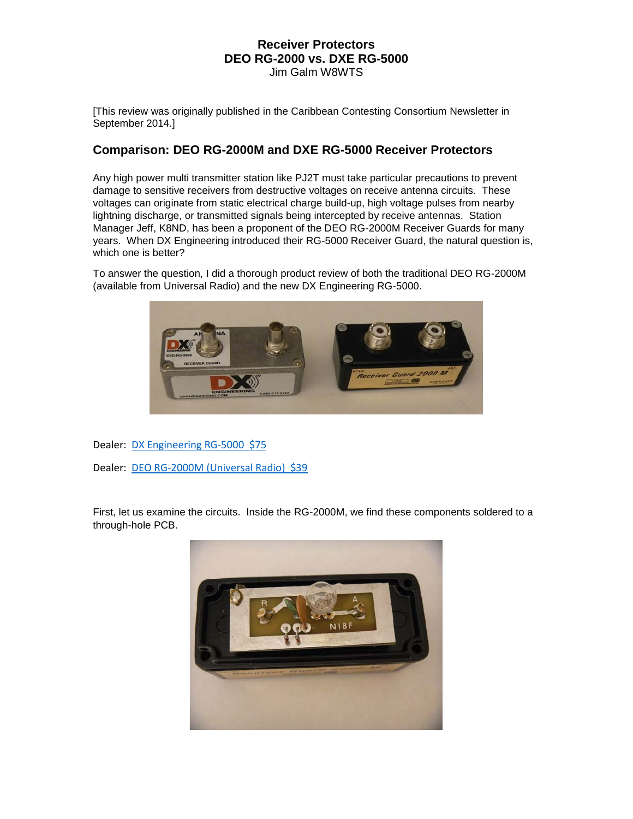[This review was originally published in the Caribbean Contesting Consortium Newsletter in September 2014.]

# **Comparison: DEO RG-2000M and DXE RG-5000 Receiver Protectors**

Any high power multi transmitter station like PJ2T must take particular precautions to prevent damage to sensitive receivers from destructive voltages on receive antenna circuits. These voltages can originate from static electrical charge build-up, high voltage pulses from nearby lightning discharge, or transmitted signals being intercepted by receive antennas. Station Manager Jeff, K8ND, has been a proponent of the DEO RG-2000M Receiver Guards for many years. When DX Engineering introduced their RG-5000 Receiver Guard, the natural question is, which one is better?

To answer the question, I did a thorough product review of both the traditional DEO RG-2000M (available from Universal Radio) and the new DX Engineering RG-5000.



Dealer: [DX Engineering RG-5000 \\$75](http://www.dxengineering.com/parts/dxe-rg-5000)

Dealer: [DEO RG-2000M \(Universal Radio\) \\$39](http://www.universal-radio.com/catalog/protect/1305.html)

First, let us examine the circuits. Inside the RG-2000M, we find these components soldered to a through-hole PCB.

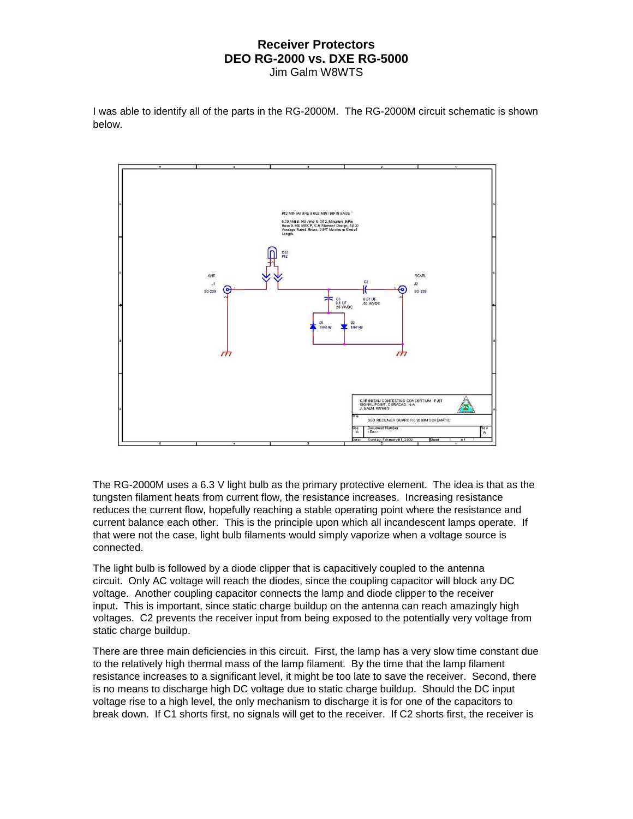I was able to identify all of the parts in the RG-2000M. The RG-2000M circuit schematic is shown below.



The RG-2000M uses a 6.3 V light bulb as the primary protective element. The idea is that as the tungsten filament heats from current flow, the resistance increases. Increasing resistance reduces the current flow, hopefully reaching a stable operating point where the resistance and current balance each other. This is the principle upon which all incandescent lamps operate. If that were not the case, light bulb filaments would simply vaporize when a voltage source is connected.

The light bulb is followed by a diode clipper that is capacitively coupled to the antenna circuit. Only AC voltage will reach the diodes, since the coupling capacitor will block any DC voltage. Another coupling capacitor connects the lamp and diode clipper to the receiver input. This is important, since static charge buildup on the antenna can reach amazingly high voltages. C2 prevents the receiver input from being exposed to the potentially very voltage from static charge buildup.

There are three main deficiencies in this circuit. First, the lamp has a very slow time constant due to the relatively high thermal mass of the lamp filament. By the time that the lamp filament resistance increases to a significant level, it might be too late to save the receiver. Second, there is no means to discharge high DC voltage due to static charge buildup. Should the DC input voltage rise to a high level, the only mechanism to discharge it is for one of the capacitors to break down. If C1 shorts first, no signals will get to the receiver. If C2 shorts first, the receiver is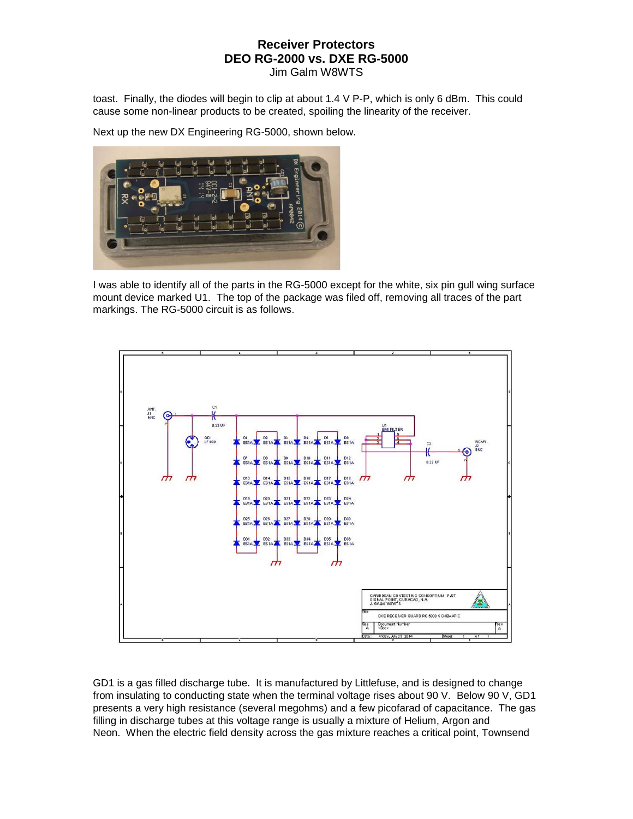toast. Finally, the diodes will begin to clip at about 1.4 V P-P, which is only 6 dBm. This could cause some non-linear products to be created, spoiling the linearity of the receiver.

Next up the new DX Engineering RG-5000, shown below.



I was able to identify all of the parts in the RG-5000 except for the white, six pin gull wing surface mount device marked U1. The top of the package was filed off, removing all traces of the part markings. The RG-5000 circuit is as follows.



GD1 is a gas filled discharge tube. It is manufactured by Littlefuse, and is designed to change from insulating to conducting state when the terminal voltage rises about 90 V. Below 90 V, GD1 presents a very high resistance (several megohms) and a few picofarad of capacitance. The gas filling in discharge tubes at this voltage range is usually a mixture of Helium, Argon and Neon. When the electric field density across the gas mixture reaches a critical point, Townsend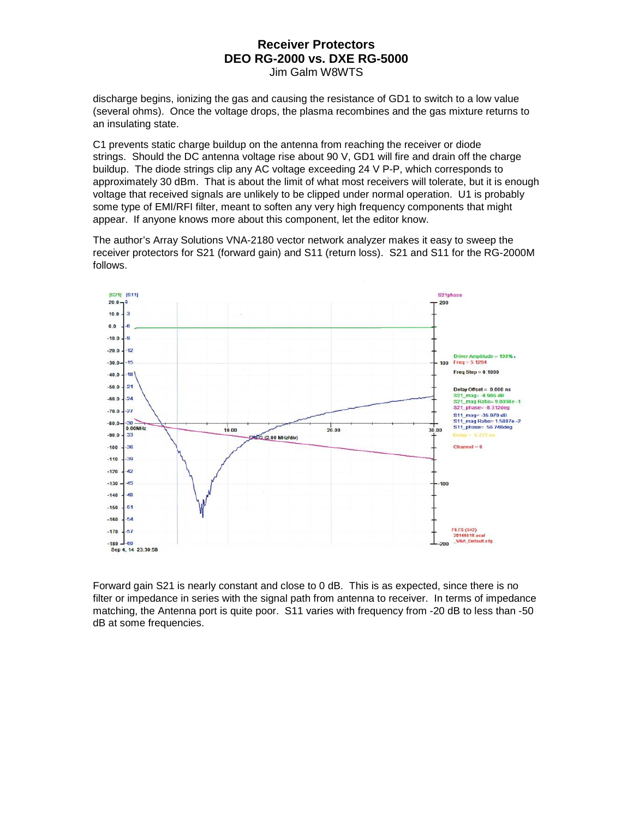discharge begins, ionizing the gas and causing the resistance of GD1 to switch to a low value (several ohms). Once the voltage drops, the plasma recombines and the gas mixture returns to an insulating state.

C1 prevents static charge buildup on the antenna from reaching the receiver or diode strings. Should the DC antenna voltage rise about 90 V, GD1 will fire and drain off the charge buildup. The diode strings clip any AC voltage exceeding 24 V P-P, which corresponds to approximately 30 dBm. That is about the limit of what most receivers will tolerate, but it is enough voltage that received signals are unlikely to be clipped under normal operation. U1 is probably some type of EMI/RFI filter, meant to soften any very high frequency components that might appear. If anyone knows more about this component, let the editor know.

The author's Array Solutions VNA-2180 vector network analyzer makes it easy to sweep the receiver protectors for S21 (forward gain) and S11 (return loss). S21 and S11 for the RG-2000M follows.



Forward gain S21 is nearly constant and close to 0 dB. This is as expected, since there is no filter or impedance in series with the signal path from antenna to receiver. In terms of impedance matching, the Antenna port is quite poor. S11 varies with frequency from -20 dB to less than -50 dB at some frequencies.